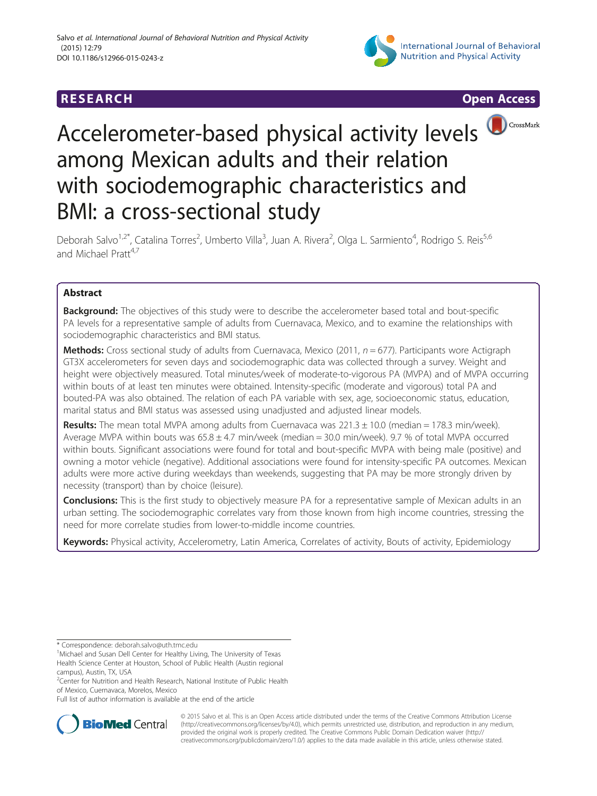





# Accelerometer-based physical activity levels **D**CrossMark among Mexican adults and their relation with sociodemographic characteristics and BMI: a cross-sectional study

Deborah Salvo<sup>1,2\*</sup>, Catalina Torres<sup>2</sup>, Umberto Villa<sup>3</sup>, Juan A. Rivera<sup>2</sup>, Olga L. Sarmiento<sup>4</sup>, Rodrigo S. Reis<sup>5,6</sup> and Michael Pratt<sup>4,7</sup>

# Abstract

Background: The objectives of this study were to describe the accelerometer based total and bout-specific PA levels for a representative sample of adults from Cuernavaca, Mexico, and to examine the relationships with sociodemographic characteristics and BMI status.

**Methods:** Cross sectional study of adults from Cuernavaca, Mexico (2011,  $n = 677$ ). Participants wore Actigraph GT3X accelerometers for seven days and sociodemographic data was collected through a survey. Weight and height were objectively measured. Total minutes/week of moderate-to-vigorous PA (MVPA) and of MVPA occurring within bouts of at least ten minutes were obtained. Intensity-specific (moderate and vigorous) total PA and bouted-PA was also obtained. The relation of each PA variable with sex, age, socioeconomic status, education, marital status and BMI status was assessed using unadjusted and adjusted linear models.

Results: The mean total MVPA among adults from Cuernavaca was  $221.3 \pm 10.0$  (median = 178.3 min/week). Average MVPA within bouts was 65.8 ± 4.7 min/week (median = 30.0 min/week). 9.7 % of total MVPA occurred within bouts. Significant associations were found for total and bout-specific MVPA with being male (positive) and owning a motor vehicle (negative). Additional associations were found for intensity-specific PA outcomes. Mexican adults were more active during weekdays than weekends, suggesting that PA may be more strongly driven by necessity (transport) than by choice (leisure).

Conclusions: This is the first study to objectively measure PA for a representative sample of Mexican adults in an urban setting. The sociodemographic correlates vary from those known from high income countries, stressing the need for more correlate studies from lower-to-middle income countries.

Keywords: Physical activity, Accelerometry, Latin America, Correlates of activity, Bouts of activity, Epidemiology

\* Correspondence: [deborah.salvo@uth.tmc.edu](mailto:deborah.salvo@uth.tmc.edu) <sup>1</sup>

<sup>2</sup> Center for Nutrition and Health Research, National Institute of Public Health of Mexico, Cuernavaca, Morelos, Mexico

Full list of author information is available at the end of the article



© 2015 Salvo et al. This is an Open Access article distributed under the terms of the Creative Commons Attribution License [\(http://creativecommons.org/licenses/by/4.0\)](http://creativecommons.org/licenses/by/4.0), which permits unrestricted use, distribution, and reproduction in any medium, provided the original work is properly credited. The Creative Commons Public Domain Dedication waiver [\(http://](http://creativecommons.org/publicdomain/zero/1.0/) [creativecommons.org/publicdomain/zero/1.0/\)](http://creativecommons.org/publicdomain/zero/1.0/) applies to the data made available in this article, unless otherwise stated.

<sup>&</sup>lt;sup>1</sup>Michael and Susan Dell Center for Healthy Living, The University of Texas Health Science Center at Houston, School of Public Health (Austin regional campus), Austin, TX, USA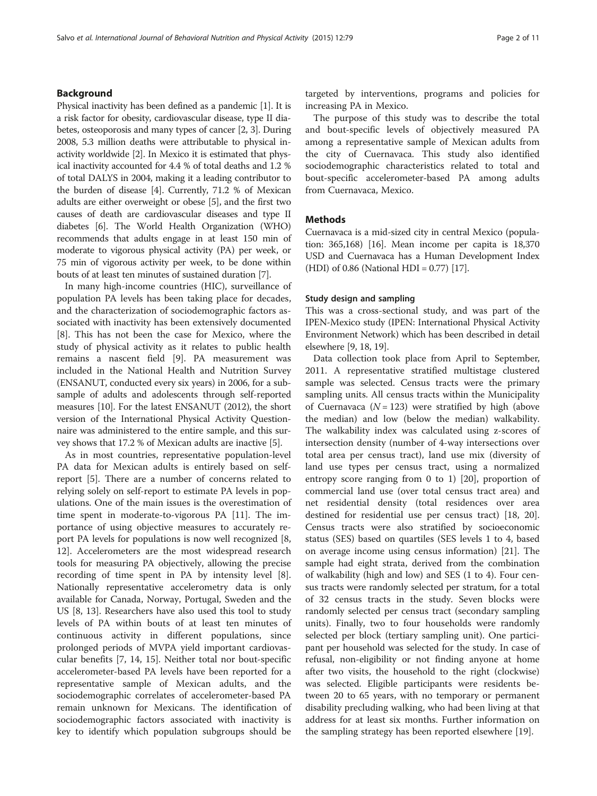# Background

Physical inactivity has been defined as a pandemic [[1](#page-9-0)]. It is a risk factor for obesity, cardiovascular disease, type II diabetes, osteoporosis and many types of cancer [\[2](#page-9-0), [3\]](#page-9-0). During 2008, 5.3 million deaths were attributable to physical inactivity worldwide [\[2\]](#page-9-0). In Mexico it is estimated that physical inactivity accounted for 4.4 % of total deaths and 1.2 % of total DALYS in 2004, making it a leading contributor to the burden of disease [[4](#page-9-0)]. Currently, 71.2 % of Mexican adults are either overweight or obese [\[5\]](#page-9-0), and the first two causes of death are cardiovascular diseases and type II diabetes [\[6\]](#page-9-0). The World Health Organization (WHO) recommends that adults engage in at least 150 min of moderate to vigorous physical activity (PA) per week, or 75 min of vigorous activity per week, to be done within bouts of at least ten minutes of sustained duration [[7\]](#page-9-0).

In many high-income countries (HIC), surveillance of population PA levels has been taking place for decades, and the characterization of sociodemographic factors associated with inactivity has been extensively documented [[8\]](#page-9-0). This has not been the case for Mexico, where the study of physical activity as it relates to public health remains a nascent field [\[9](#page-9-0)]. PA measurement was included in the National Health and Nutrition Survey (ENSANUT, conducted every six years) in 2006, for a subsample of adults and adolescents through self-reported measures [\[10\]](#page-9-0). For the latest ENSANUT (2012), the short version of the International Physical Activity Questionnaire was administered to the entire sample, and this survey shows that 17.2 % of Mexican adults are inactive [[5\]](#page-9-0).

As in most countries, representative population-level PA data for Mexican adults is entirely based on selfreport [[5\]](#page-9-0). There are a number of concerns related to relying solely on self-report to estimate PA levels in populations. One of the main issues is the overestimation of time spent in moderate-to-vigorous PA [[11](#page-9-0)]. The importance of using objective measures to accurately report PA levels for populations is now well recognized [\[8](#page-9-0), [12\]](#page-10-0). Accelerometers are the most widespread research tools for measuring PA objectively, allowing the precise recording of time spent in PA by intensity level [\[8](#page-9-0)]. Nationally representative accelerometry data is only available for Canada, Norway, Portugal, Sweden and the US [\[8](#page-9-0), [13\]](#page-10-0). Researchers have also used this tool to study levels of PA within bouts of at least ten minutes of continuous activity in different populations, since prolonged periods of MVPA yield important cardiovascular benefits [\[7](#page-9-0), [14, 15](#page-10-0)]. Neither total nor bout-specific accelerometer-based PA levels have been reported for a representative sample of Mexican adults, and the sociodemographic correlates of accelerometer-based PA remain unknown for Mexicans. The identification of sociodemographic factors associated with inactivity is key to identify which population subgroups should be

targeted by interventions, programs and policies for increasing PA in Mexico.

The purpose of this study was to describe the total and bout-specific levels of objectively measured PA among a representative sample of Mexican adults from the city of Cuernavaca. This study also identified sociodemographic characteristics related to total and bout-specific accelerometer-based PA among adults from Cuernavaca, Mexico.

#### **Methods**

Cuernavaca is a mid-sized city in central Mexico (population: 365,168) [\[16](#page-10-0)]. Mean income per capita is 18,370 USD and Cuernavaca has a Human Development Index (HDI) of 0.86 (National HDI = 0.77) [\[17](#page-10-0)].

#### Study design and sampling

This was a cross-sectional study, and was part of the IPEN-Mexico study (IPEN: International Physical Activity Environment Network) which has been described in detail elsewhere [\[9](#page-9-0), [18, 19\]](#page-10-0).

Data collection took place from April to September, 2011. A representative stratified multistage clustered sample was selected. Census tracts were the primary sampling units. All census tracts within the Municipality of Cuernavaca ( $N = 123$ ) were stratified by high (above the median) and low (below the median) walkability. The walkability index was calculated using z-scores of intersection density (number of 4-way intersections over total area per census tract), land use mix (diversity of land use types per census tract, using a normalized entropy score ranging from 0 to 1) [[20](#page-10-0)], proportion of commercial land use (over total census tract area) and net residential density (total residences over area destined for residential use per census tract) [\[18](#page-10-0), [20](#page-10-0)]. Census tracts were also stratified by socioeconomic status (SES) based on quartiles (SES levels 1 to 4, based on average income using census information) [\[21](#page-10-0)]. The sample had eight strata, derived from the combination of walkability (high and low) and SES (1 to 4). Four census tracts were randomly selected per stratum, for a total of 32 census tracts in the study. Seven blocks were randomly selected per census tract (secondary sampling units). Finally, two to four households were randomly selected per block (tertiary sampling unit). One participant per household was selected for the study. In case of refusal, non-eligibility or not finding anyone at home after two visits, the household to the right (clockwise) was selected. Eligible participants were residents between 20 to 65 years, with no temporary or permanent disability precluding walking, who had been living at that address for at least six months. Further information on the sampling strategy has been reported elsewhere [\[19](#page-10-0)].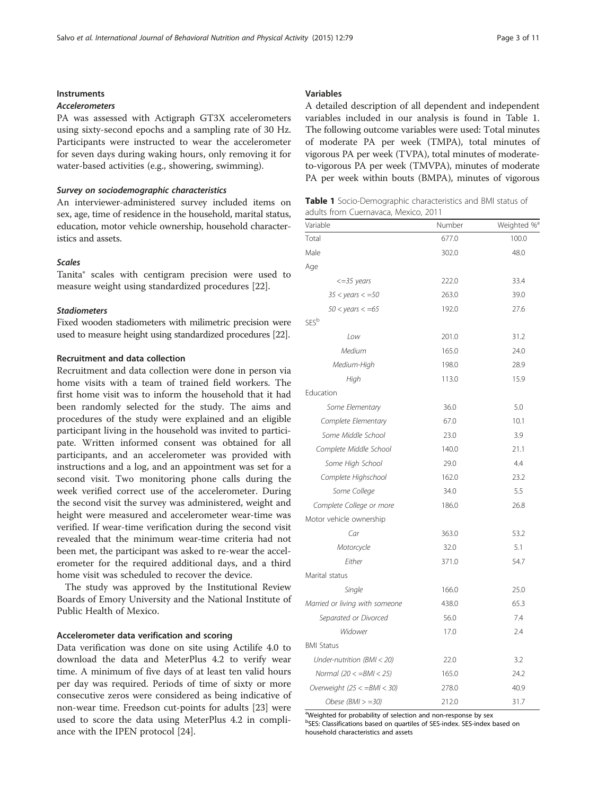# <span id="page-2-0"></span>Instruments

# Accelerometers

PA was assessed with Actigraph GT3X accelerometers using sixty-second epochs and a sampling rate of 30 Hz. Participants were instructed to wear the accelerometer for seven days during waking hours, only removing it for water-based activities (e.g., showering, swimming).

# Survey on sociodemographic characteristics

An interviewer-administered survey included items on sex, age, time of residence in the household, marital status, education, motor vehicle ownership, household characteristics and assets.

#### Scales

Tanita® scales with centigram precision were used to measure weight using standardized procedures [[22](#page-10-0)].

#### Stadiometers

Fixed wooden stadiometers with milimetric precision were used to measure height using standardized procedures [\[22](#page-10-0)].

## Recruitment and data collection

Recruitment and data collection were done in person via home visits with a team of trained field workers. The first home visit was to inform the household that it had been randomly selected for the study. The aims and procedures of the study were explained and an eligible participant living in the household was invited to participate. Written informed consent was obtained for all participants, and an accelerometer was provided with instructions and a log, and an appointment was set for a second visit. Two monitoring phone calls during the week verified correct use of the accelerometer. During the second visit the survey was administered, weight and height were measured and accelerometer wear-time was verified. If wear-time verification during the second visit revealed that the minimum wear-time criteria had not been met, the participant was asked to re-wear the accelerometer for the required additional days, and a third home visit was scheduled to recover the device.

The study was approved by the Institutional Review Boards of Emory University and the National Institute of Public Health of Mexico.

#### Accelerometer data verification and scoring

Data verification was done on site using Actilife 4.0 to download the data and MeterPlus 4.2 to verify wear time. A minimum of five days of at least ten valid hours per day was required. Periods of time of sixty or more consecutive zeros were considered as being indicative of non-wear time. Freedson cut-points for adults [[23\]](#page-10-0) were used to score the data using MeterPlus 4.2 in compliance with the IPEN protocol [\[24\]](#page-10-0).

## Variables

A detailed description of all dependent and independent variables included in our analysis is found in Table 1. The following outcome variables were used: Total minutes of moderate PA per week (TMPA), total minutes of vigorous PA per week (TVPA), total minutes of moderateto-vigorous PA per week (TMVPA), minutes of moderate PA per week within bouts (BMPA), minutes of vigorous

| <b>Table 1</b> Socio-Demographic characteristics and BMI status of |  |  |
|--------------------------------------------------------------------|--|--|
| adults from Cuernavaca, Mexico, 2011                               |  |  |

| Variable                       | Number | Weighted % <sup>a</sup> |
|--------------------------------|--------|-------------------------|
| Total                          | 677.0  | 100.0                   |
| Male                           | 302.0  | 48.0                    |
| Age                            |        |                         |
| $<=35$ years                   | 222.0  | 33.4                    |
| $35 <$ years $< = 50$          | 263.0  | 39.0                    |
| $50 < \text{years} < -65$      | 192.0  | 27.6                    |
| SES <sup>b</sup>               |        |                         |
| Low                            | 201.0  | 31.2                    |
| Medium                         | 165.0  | 24.0                    |
| Medium-High                    | 198.0  | 28.9                    |
| High                           | 113.0  | 15.9                    |
| Education                      |        |                         |
| Some Elementary                | 36.0   | 5.0                     |
| Complete Elementary            | 67.0   | 10.1                    |
| Some Middle School             | 23.0   | 3.9                     |
| Complete Middle School         | 140.0  | 21.1                    |
| Some High School               | 29.0   | 4.4                     |
| Complete Highschool            | 162.0  | 23.2                    |
| Some College                   | 34.0   | 5.5                     |
| Complete College or more       | 186.0  | 26.8                    |
| Motor vehicle ownership        |        |                         |
| Car                            | 363.0  | 53.2                    |
| Motorcycle                     | 32.0   | 5.1                     |
| Either                         | 371.0  | 54.7                    |
| Marital status                 |        |                         |
| Single                         | 166.0  | 25.0                    |
| Married or living with someone | 438.0  | 65.3                    |
| Separated or Divorced          | 56.0   | 7.4                     |
| Widower                        | 17.0   | 2.4                     |
| <b>BMI Status</b>              |        |                         |
| Under-nutrition (BMI < 20)     | 22.0   | 3.2                     |
| Normal (20 < = $BMI$ < 25)     | 165.0  | 24.2                    |
| Overweight $(25 < =BM < 30)$   | 278.0  | 40.9                    |
| Obese $(BMI > =30)$            | 212.0  | 31.7                    |

<sup>a</sup>Weighted for probability of selection and non-response by sex **bSES: Classifications based on quartiles of SES-index. SES-index based on** household characteristics and assets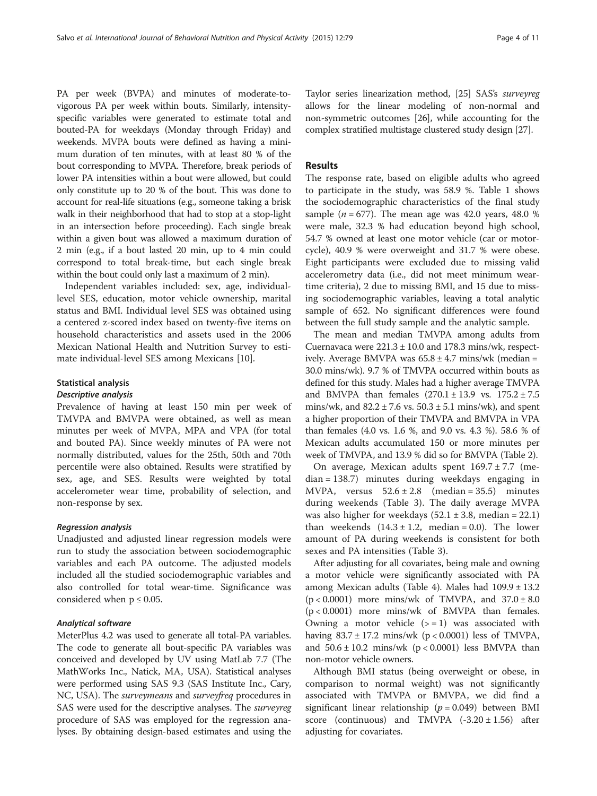PA per week (BVPA) and minutes of moderate-tovigorous PA per week within bouts. Similarly, intensityspecific variables were generated to estimate total and bouted-PA for weekdays (Monday through Friday) and weekends. MVPA bouts were defined as having a minimum duration of ten minutes, with at least 80 % of the bout corresponding to MVPA. Therefore, break periods of lower PA intensities within a bout were allowed, but could only constitute up to 20 % of the bout. This was done to account for real-life situations (e.g., someone taking a brisk walk in their neighborhood that had to stop at a stop-light in an intersection before proceeding). Each single break within a given bout was allowed a maximum duration of 2 min (e.g., if a bout lasted 20 min, up to 4 min could correspond to total break-time, but each single break within the bout could only last a maximum of 2 min).

Independent variables included: sex, age, individuallevel SES, education, motor vehicle ownership, marital status and BMI. Individual level SES was obtained using a centered z-scored index based on twenty-five items on household characteristics and assets used in the 2006 Mexican National Health and Nutrition Survey to estimate individual-level SES among Mexicans [\[10](#page-9-0)].

# Statistical analysis

# Descriptive analysis

Prevalence of having at least 150 min per week of TMVPA and BMVPA were obtained, as well as mean minutes per week of MVPA, MPA and VPA (for total and bouted PA). Since weekly minutes of PA were not normally distributed, values for the 25th, 50th and 70th percentile were also obtained. Results were stratified by sex, age, and SES. Results were weighted by total accelerometer wear time, probability of selection, and non-response by sex.

### Regression analysis

Unadjusted and adjusted linear regression models were run to study the association between sociodemographic variables and each PA outcome. The adjusted models included all the studied sociodemographic variables and also controlled for total wear-time. Significance was considered when  $p \leq 0.05$ .

#### Analytical software

MeterPlus 4.2 was used to generate all total-PA variables. The code to generate all bout-specific PA variables was conceived and developed by UV using MatLab 7.7 (The MathWorks Inc., Natick, MA, USA). Statistical analyses were performed using SAS 9.3 (SAS Institute Inc., Cary, NC, USA). The *surveymeans* and *surveyfreq* procedures in SAS were used for the descriptive analyses. The surveyreg procedure of SAS was employed for the regression analyses. By obtaining design-based estimates and using the Taylor series linearization method, [\[25\]](#page-10-0) SAS'<sup>s</sup> surveyreg allows for the linear modeling of non-normal and non-symmetric outcomes [[26](#page-10-0)], while accounting for the complex stratified multistage clustered study design [\[27\]](#page-10-0).

#### Results

The response rate, based on eligible adults who agreed to participate in the study, was 58.9 %. Table [1](#page-2-0) shows the sociodemographic characteristics of the final study sample ( $n = 677$ ). The mean age was 42.0 years, 48.0 % were male, 32.3 % had education beyond high school, 54.7 % owned at least one motor vehicle (car or motorcycle), 40.9 % were overweight and 31.7 % were obese. Eight participants were excluded due to missing valid accelerometry data (i.e., did not meet minimum weartime criteria), 2 due to missing BMI, and 15 due to missing sociodemographic variables, leaving a total analytic sample of 652. No significant differences were found between the full study sample and the analytic sample.

The mean and median TMVPA among adults from Cuernavaca were  $221.3 \pm 10.0$  and 178.3 mins/wk, respectively. Average BMVPA was  $65.8 \pm 4.7$  mins/wk (median = 30.0 mins/wk). 9.7 % of TMVPA occurred within bouts as defined for this study. Males had a higher average TMVPA and BMVPA than females  $(270.1 \pm 13.9 \text{ vs. } 175.2 \pm 7.5$ mins/wk, and  $82.2 \pm 7.6$  vs.  $50.3 \pm 5.1$  mins/wk), and spent a higher proportion of their TMVPA and BMVPA in VPA than females (4.0 vs. 1.6 %, and 9.0 vs. 4.3 %). 58.6 % of Mexican adults accumulated 150 or more minutes per week of TMVPA, and 13.9 % did so for BMVPA (Table [2\)](#page-4-0).

On average, Mexican adults spent  $169.7 \pm 7.7$  (median = 138.7) minutes during weekdays engaging in MVPA, versus  $52.6 \pm 2.8$  (median = 35.5) minutes during weekends (Table [3](#page-5-0)). The daily average MVPA was also higher for weekdays  $(52.1 \pm 3.8, \text{ median} = 22.1)$ than weekends  $(14.3 \pm 1.2, \text{ median} = 0.0)$ . The lower amount of PA during weekends is consistent for both sexes and PA intensities (Table [3\)](#page-5-0).

After adjusting for all covariates, being male and owning a motor vehicle were significantly associated with PA among Mexican adults (Table [4\)](#page-7-0). Males had  $109.9 \pm 13.2$  $(p < 0.0001)$  more mins/wk of TMVPA, and  $37.0 \pm 8.0$ (p < 0.0001) more mins/wk of BMVPA than females. Owning a motor vehicle  $(>= 1)$  was associated with having  $83.7 \pm 17.2$  mins/wk ( $p < 0.0001$ ) less of TMVPA, and  $50.6 \pm 10.2$  mins/wk (p < 0.0001) less BMVPA than non-motor vehicle owners.

Although BMI status (being overweight or obese, in comparison to normal weight) was not significantly associated with TMVPA or BMVPA, we did find a significant linear relationship ( $p = 0.049$ ) between BMI score (continuous) and TMVPA  $(-3.20 \pm 1.56)$  after adjusting for covariates.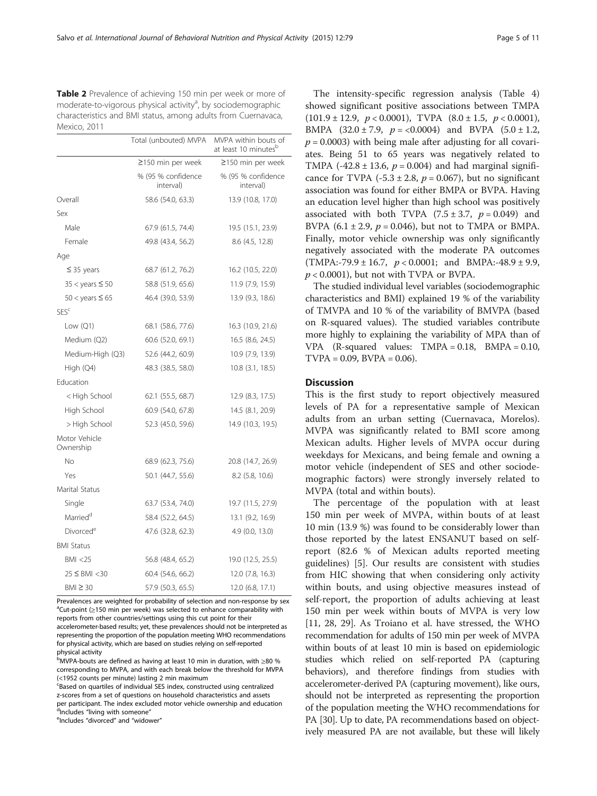<span id="page-4-0"></span>Table 2 Prevalence of achieving 150 min per week or more of moderate-to-vigorous physical activity<sup>a</sup>, by sociodemographic characteristics and BMI status, among adults from Cuernavaca, Mexico, 2011

|                            | Total (unbouted) MVPA           | MVPA within bouts of<br>at least 10 minutes <sup>b</sup> |
|----------------------------|---------------------------------|----------------------------------------------------------|
|                            | $\geq$ 150 min per week         | $\geq$ 150 min per week                                  |
|                            | % (95 % confidence<br>interval) | % (95 % confidence<br>interval)                          |
| Overall                    | 58.6 (54.0, 63.3)               | 13.9 (10.8, 17.0)                                        |
| Sex                        |                                 |                                                          |
| Male                       | 67.9 (61.5, 74.4)               | 19.5 (15.1, 23.9)                                        |
| Female                     | 49.8 (43.4, 56.2)               | 8.6 (4.5, 12.8)                                          |
| Age                        |                                 |                                                          |
| $\leq$ 35 years            | 68.7 (61.2, 76.2)               | 16.2 (10.5, 22.0)                                        |
| $35 <$ years $\leq 50$     | 58.8 (51.9, 65.6)               | 11.9 (7.9, 15.9)                                         |
| $50 <$ years $\leq 65$     | 46.4 (39.0, 53.9)               | 13.9 (9.3, 18.6)                                         |
| SES <sup>c</sup>           |                                 |                                                          |
| Low $(Q1)$                 | 68.1 (58.6, 77.6)               | 16.3 (10.9, 21.6)                                        |
| Medium (Q2)                | 60.6 (52.0, 69.1)               | 16.5 (8.6, 24.5)                                         |
| Medium-High (Q3)           | 52.6 (44.2, 60.9)               | 10.9 (7.9, 13.9)                                         |
| High (Q4)                  | 48.3 (38.5, 58.0)               | 10.8 (3.1, 18.5)                                         |
| Education                  |                                 |                                                          |
| < High School              | 62.1 (55.5, 68.7)               | 12.9 (8.3, 17.5)                                         |
| High School                | 60.9 (54.0, 67.8)               | 14.5 (8.1, 20.9)                                         |
| > High School              | 52.3 (45.0, 59.6)               | 14.9 (10.3, 19.5)                                        |
| Motor Vehicle<br>Ownership |                                 |                                                          |
| No                         | 68.9 (62.3, 75.6)               | 20.8 (14.7, 26.9)                                        |
| Yes                        | 50.1 (44.7, 55.6)               | $8.2$ (5.8, 10.6)                                        |
| Marital Status             |                                 |                                                          |
| Single                     | 63.7 (53.4, 74.0)               | 19.7 (11.5, 27.9)                                        |
| Married <sup>d</sup>       | 58.4 (52.2, 64.5)               | 13.1 (9.2, 16.9)                                         |
| Divorced <sup>e</sup>      | 47.6 (32.8, 62.3)               | 4.9(0.0, 13.0)                                           |
| <b>BMI Status</b>          |                                 |                                                          |
| BMI < 25                   | 56.8 (48.4, 65.2)               | 19.0 (12.5, 25.5)                                        |
| $25 \leq$ BMI < 30         | 60.4 (54.6, 66.2)               | 12.0 (7.8, 16.3)                                         |
| $BM \geq 30$               | 57.9 (50.3, 65.5)               | 12.0 (6.8, 17.1)                                         |

Prevalences are weighted for probability of selection and non-response by sex <sup>a</sup>Cut-point (≥150 min per week) was selected to enhance comparability with reports from other countries/settings using this cut point for their accelerometer-based results; yet, these prevalences should not be interpreted as representing the proportion of the population meeting WHO recommendations for physical activity, which are based on studies relying on self-reported physical activity

b MVPA-bouts are defined as having at least 10 min in duration, with ≥80 % corresponding to MVPA, and with each break below the threshold for MVPA (<1952 counts per minute) lasting 2 min maximum

<sup>c</sup>Based on quartiles of individual SES index, constructed using centralized z-scores from a set of questions on household characteristics and assets per participant. The index excluded motor vehicle ownership and education d<br>Includes "living with someone"<br>Elpeludes "diversed" and "widow

<sup>e</sup>Includes "divorced" and "widower"

The intensity-specific regression analysis (Table [4](#page-7-0)) showed significant positive associations between TMPA  $(101.9 \pm 12.9, p < 0.0001)$ , TVPA  $(8.0 \pm 1.5, p < 0.0001)$ , BMPA  $(32.0 \pm 7.9, p = <0.0004)$  and BVPA  $(5.0 \pm 1.2,$  $p = 0.0003$ ) with being male after adjusting for all covariates. Being 51 to 65 years was negatively related to TMPA (-42.8  $\pm$  13.6,  $p = 0.004$ ) and had marginal significance for TVPA (-5.3  $\pm$  2.8, p = 0.067), but no significant association was found for either BMPA or BVPA. Having an education level higher than high school was positively associated with both TVPA  $(7.5 \pm 3.7, p = 0.049)$  and BVPA  $(6.1 \pm 2.9, p = 0.046)$ , but not to TMPA or BMPA. Finally, motor vehicle ownership was only significantly negatively associated with the moderate PA outcomes  $(TMPA:-79.9 \pm 16.7, p < 0.0001; and BMPA:-48.9 \pm 9.9,$  $p < 0.0001$ ), but not with TVPA or BVPA.

The studied individual level variables (sociodemographic characteristics and BMI) explained 19 % of the variability of TMVPA and 10 % of the variability of BMVPA (based on R-squared values). The studied variables contribute more highly to explaining the variability of MPA than of VPA (R-squared values: TMPA = 0.18, BMPA = 0.10,  $TVPA = 0.09$ ,  $BVPA = 0.06$ ).

#### **Discussion**

This is the first study to report objectively measured levels of PA for a representative sample of Mexican adults from an urban setting (Cuernavaca, Morelos). MVPA was significantly related to BMI score among Mexican adults. Higher levels of MVPA occur during weekdays for Mexicans, and being female and owning a motor vehicle (independent of SES and other sociodemographic factors) were strongly inversely related to MVPA (total and within bouts).

The percentage of the population with at least 150 min per week of MVPA, within bouts of at least 10 min (13.9 %) was found to be considerably lower than those reported by the latest ENSANUT based on selfreport (82.6 % of Mexican adults reported meeting guidelines) [[5\]](#page-9-0). Our results are consistent with studies from HIC showing that when considering only activity within bouts, and using objective measures instead of self-report, the proportion of adults achieving at least 150 min per week within bouts of MVPA is very low [[11,](#page-9-0) [28, 29\]](#page-10-0). As Troiano et al. have stressed, the WHO recommendation for adults of 150 min per week of MVPA within bouts of at least 10 min is based on epidemiologic studies which relied on self-reported PA (capturing behaviors), and therefore findings from studies with accelerometer-derived PA (capturing movement), like ours, should not be interpreted as representing the proportion of the population meeting the WHO recommendations for PA [\[30\]](#page-10-0). Up to date, PA recommendations based on objectively measured PA are not available, but these will likely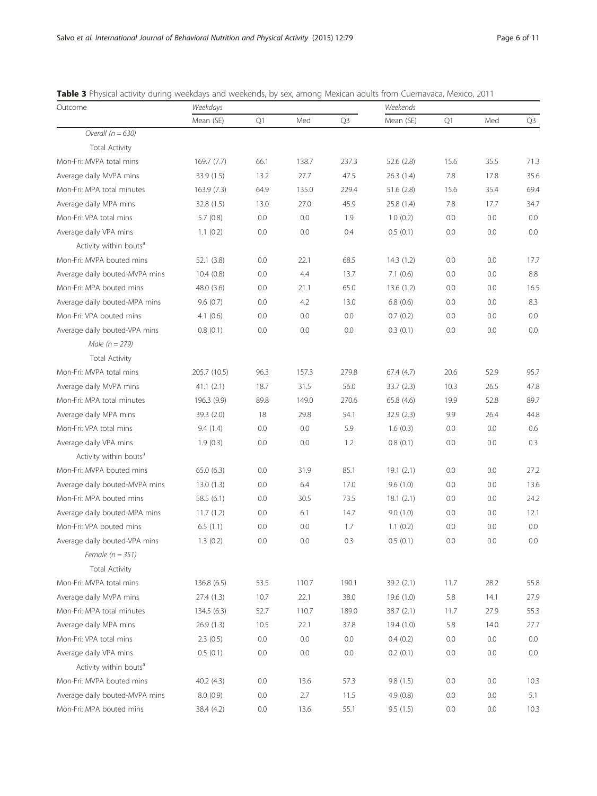<span id="page-5-0"></span>

| Table 3 Physical activity during weekdays and weekends, by sex, among Mexican adults from Cuernavaca, Mexico, 2011 |
|--------------------------------------------------------------------------------------------------------------------|
|--------------------------------------------------------------------------------------------------------------------|

| Outcome                            | Weekdays     |         |       |       | Weekends   |         |      |         |  |  |  |
|------------------------------------|--------------|---------|-------|-------|------------|---------|------|---------|--|--|--|
|                                    | Mean (SE)    | Q1      | Med   | Q3    | Mean (SE)  | Q1      | Med  | Q3      |  |  |  |
| Overall $(n = 630)$                |              |         |       |       |            |         |      |         |  |  |  |
| <b>Total Activity</b>              |              |         |       |       |            |         |      |         |  |  |  |
| Mon-Fri: MVPA total mins           | 169.7(7.7)   | 66.1    | 138.7 | 237.3 | 52.6(2.8)  | 15.6    | 35.5 | 71.3    |  |  |  |
| Average daily MVPA mins            | 33.9(1.5)    | 13.2    | 27.7  | 47.5  | 26.3(1.4)  | 7.8     | 17.8 | 35.6    |  |  |  |
| Mon-Fri: MPA total minutes         | 163.9(7.3)   | 64.9    | 135.0 | 229.4 | 51.6(2.8)  | 15.6    | 35.4 | 69.4    |  |  |  |
| Average daily MPA mins             | 32.8(1.5)    | 13.0    | 27.0  | 45.9  | 25.8(1.4)  | 7.8     | 17.7 | 34.7    |  |  |  |
| Mon-Fri: VPA total mins            | 5.7(0.8)     | 0.0     | 0.0   | 1.9   | 1.0(0.2)   | 0.0     | 0.0  | 0.0     |  |  |  |
| Average daily VPA mins             | 1.1(0.2)     | 0.0     | 0.0   | 0.4   | 0.5(0.1)   | 0.0     | 0.0  | 0.0     |  |  |  |
| Activity within bouts <sup>a</sup> |              |         |       |       |            |         |      |         |  |  |  |
| Mon-Fri: MVPA bouted mins          | 52.1 (3.8)   | 0.0     | 22.1  | 68.5  | 14.3(1.2)  | 0.0     | 0.0  | 17.7    |  |  |  |
| Average daily bouted-MVPA mins     | 10.4(0.8)    | 0.0     | 4.4   | 13.7  | 7.1(0.6)   | 0.0     | 0.0  | 8.8     |  |  |  |
| Mon-Fri: MPA bouted mins           | 48.0 (3.6)   | 0.0     | 21.1  | 65.0  | 13.6(1.2)  | 0.0     | 0.0  | 16.5    |  |  |  |
| Average daily bouted-MPA mins      | 9.6(0.7)     | 0.0     | 4.2   | 13.0  | 6.8(0.6)   | 0.0     | 0.0  | 8.3     |  |  |  |
| Mon-Fri: VPA bouted mins           | 4.1(0.6)     | 0.0     | 0.0   | 0.0   | 0.7(0.2)   | 0.0     | 0.0  | 0.0     |  |  |  |
| Average daily bouted-VPA mins      | 0.8(0.1)     | 0.0     | 0.0   | 0.0   | 0.3(0.1)   | 0.0     | 0.0  | 0.0     |  |  |  |
| Male $(n = 279)$                   |              |         |       |       |            |         |      |         |  |  |  |
| <b>Total Activity</b>              |              |         |       |       |            |         |      |         |  |  |  |
| Mon-Fri: MVPA total mins           | 205.7 (10.5) | 96.3    | 157.3 | 279.8 | 67.4(4.7)  | 20.6    | 52.9 | 95.7    |  |  |  |
| Average daily MVPA mins            | 41.1(2.1)    | 18.7    | 31.5  | 56.0  | 33.7(2.3)  | 10.3    | 26.5 | 47.8    |  |  |  |
| Mon-Fri: MPA total minutes         | 196.3 (9.9)  | 89.8    | 149.0 | 270.6 | 65.8 (4.6) | 19.9    | 52.8 | 89.7    |  |  |  |
| Average daily MPA mins             | 39.3(2.0)    | 18      | 29.8  | 54.1  | 32.9(2.3)  | 9.9     | 26.4 | 44.8    |  |  |  |
| Mon-Fri: VPA total mins            | 9.4(1.4)     | 0.0     | 0.0   | 5.9   | 1.6(0.3)   | 0.0     | 0.0  | 0.6     |  |  |  |
| Average daily VPA mins             | 1.9(0.3)     | 0.0     | 0.0   | 1.2   | 0.8(0.1)   | 0.0     | 0.0  | 0.3     |  |  |  |
| Activity within bouts <sup>a</sup> |              |         |       |       |            |         |      |         |  |  |  |
| Mon-Fri: MVPA bouted mins          | 65.0(6.3)    | 0.0     | 31.9  | 85.1  | 19.1(2.1)  | 0.0     | 0.0  | 27.2    |  |  |  |
| Average daily bouted-MVPA mins     | 13.0(1.3)    | 0.0     | 6.4   | 17.0  | 9.6(1.0)   | 0.0     | 0.0  | 13.6    |  |  |  |
| Mon-Fri: MPA bouted mins           | 58.5(6.1)    | 0.0     | 30.5  | 73.5  | 18.1(2.1)  | 0.0     | 0.0  | 24.2    |  |  |  |
| Average daily bouted-MPA mins      | 11.7(1.2)    | 0.0     | 6.1   | 14.7  | 9.0(1.0)   | 0.0     | 0.0  | 12.1    |  |  |  |
| Mon-Fri: VPA bouted mins           | 6.5(1.1)     | 0.0     | 0.0   | 1.7   | 1.1(0.2)   | 0.0     | 0.0  | 0.0     |  |  |  |
| Average daily bouted-VPA mins      | 1.3(0.2)     | 0.0     | 0.0   | 0.3   | 0.5(0.1)   | 0.0     | 0.0  | 0.0     |  |  |  |
| Female $(n = 351)$                 |              |         |       |       |            |         |      |         |  |  |  |
| <b>Total Activity</b>              |              |         |       |       |            |         |      |         |  |  |  |
| Mon-Fri: MVPA total mins           | 136.8(6.5)   | 53.5    | 110.7 | 190.1 | 39.2(2.1)  | 11.7    | 28.2 | 55.8    |  |  |  |
| Average daily MVPA mins            | 27.4(1.3)    | 10.7    | 22.1  | 38.0  | 19.6(1.0)  | 5.8     | 14.1 | 27.9    |  |  |  |
| Mon-Fri: MPA total minutes         | 134.5 (6.3)  | 52.7    | 110.7 | 189.0 | 38.7(2.1)  | 11.7    | 27.9 | 55.3    |  |  |  |
| Average daily MPA mins             | 26.9(1.3)    | 10.5    | 22.1  | 37.8  | 19.4(1.0)  | 5.8     | 14.0 | 27.7    |  |  |  |
| Mon-Fri: VPA total mins            | 2.3(0.5)     | $0.0\,$ | 0.0   | 0.0   | 0.4(0.2)   | 0.0     | 0.0  | 0.0     |  |  |  |
| Average daily VPA mins             | 0.5(0.1)     | $0.0\,$ | 0.0   | 0.0   | 0.2(0.1)   | $0.0\,$ | 0.0  | $0.0\,$ |  |  |  |
| Activity within bouts <sup>a</sup> |              |         |       |       |            |         |      |         |  |  |  |
| Mon-Fri: MVPA bouted mins          | 40.2 (4.3)   | $0.0\,$ | 13.6  | 57.3  | 9.8(1.5)   | 0.0     | 0.0  | 10.3    |  |  |  |
| Average daily bouted-MVPA mins     | 8.0 (0.9)    | $0.0\,$ | 2.7   | 11.5  | 4.9(0.8)   | 0.0     | 0.0  | 5.1     |  |  |  |
| Mon-Fri: MPA bouted mins           | 38.4 (4.2)   | 0.0     | 13.6  | 55.1  | 9.5(1.5)   | 0.0     | 0.0  | 10.3    |  |  |  |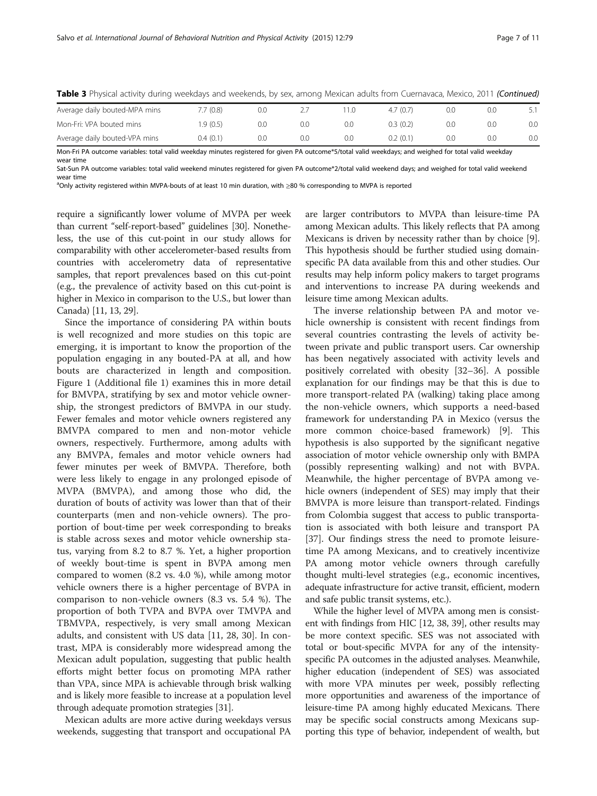| Average daily bouted-MPA mins | (0.8)    | 0.0 |     |     | 4.7(0.7) | 0.0 | 0.C |     |
|-------------------------------|----------|-----|-----|-----|----------|-----|-----|-----|
| Mon-Fri: VPA bouted mins      | .9(0.5)  | 0.0 | 0.0 | 0.0 | 0.3(0.2) | 0.0 | 0.0 | 0.0 |
| Average daily bouted-VPA mins | 0.4(0.1) | 0.0 | 0.0 | 0.0 | 0.2(0.1) | 0.0 | 0.0 | 0.0 |

Table 3 Physical activity during weekdays and weekends, by sex, among Mexican adults from Cuernavaca, Mexico, 2011 (Continued)

Mon-Fri PA outcome variables: total valid weekday minutes registered for given PA outcome\*5/total valid weekdays; and weighed for total valid weekday wear time

Sat-Sun PA outcome variables: total valid weekend minutes registered for given PA outcome\*2/total valid weekend days; and weighed for total valid weekend wear time

a<br>Only activity registered within MVPA-bouts of at least 10 min duration, with ≥80 % corresponding to MVPA is reported

require a significantly lower volume of MVPA per week than current "self-report-based" guidelines [\[30\]](#page-10-0). Nonetheless, the use of this cut-point in our study allows for comparability with other accelerometer-based results from countries with accelerometry data of representative samples, that report prevalences based on this cut-point (e.g., the prevalence of activity based on this cut-point is higher in Mexico in comparison to the U.S., but lower than Canada) [\[11,](#page-9-0) [13, 29\]](#page-10-0).

Since the importance of considering PA within bouts is well recognized and more studies on this topic are emerging, it is important to know the proportion of the population engaging in any bouted-PA at all, and how bouts are characterized in length and composition. Figure [1](#page-8-0) (Additional file [1](#page-9-0)) examines this in more detail for BMVPA, stratifying by sex and motor vehicle ownership, the strongest predictors of BMVPA in our study. Fewer females and motor vehicle owners registered any BMVPA compared to men and non-motor vehicle owners, respectively. Furthermore, among adults with any BMVPA, females and motor vehicle owners had fewer minutes per week of BMVPA. Therefore, both were less likely to engage in any prolonged episode of MVPA (BMVPA), and among those who did, the duration of bouts of activity was lower than that of their counterparts (men and non-vehicle owners). The proportion of bout-time per week corresponding to breaks is stable across sexes and motor vehicle ownership status, varying from 8.2 to 8.7 %. Yet, a higher proportion of weekly bout-time is spent in BVPA among men compared to women (8.2 vs. 4.0 %), while among motor vehicle owners there is a higher percentage of BVPA in comparison to non-vehicle owners (8.3 vs. 5.4 %). The proportion of both TVPA and BVPA over TMVPA and TBMVPA, respectively, is very small among Mexican adults, and consistent with US data [[11](#page-9-0), [28, 30](#page-10-0)]. In contrast, MPA is considerably more widespread among the Mexican adult population, suggesting that public health efforts might better focus on promoting MPA rather than VPA, since MPA is achievable through brisk walking and is likely more feasible to increase at a population level through adequate promotion strategies [\[31\]](#page-10-0).

Mexican adults are more active during weekdays versus weekends, suggesting that transport and occupational PA

are larger contributors to MVPA than leisure-time PA among Mexican adults. This likely reflects that PA among Mexicans is driven by necessity rather than by choice [[9](#page-9-0)]. This hypothesis should be further studied using domainspecific PA data available from this and other studies. Our results may help inform policy makers to target programs and interventions to increase PA during weekends and leisure time among Mexican adults.

The inverse relationship between PA and motor vehicle ownership is consistent with recent findings from several countries contrasting the levels of activity between private and public transport users. Car ownership has been negatively associated with activity levels and positively correlated with obesity [[32](#page-10-0)–[36](#page-10-0)]. A possible explanation for our findings may be that this is due to more transport-related PA (walking) taking place among the non-vehicle owners, which supports a need-based framework for understanding PA in Mexico (versus the more common choice-based framework) [\[9](#page-9-0)]. This hypothesis is also supported by the significant negative association of motor vehicle ownership only with BMPA (possibly representing walking) and not with BVPA. Meanwhile, the higher percentage of BVPA among vehicle owners (independent of SES) may imply that their BMVPA is more leisure than transport-related. Findings from Colombia suggest that access to public transportation is associated with both leisure and transport PA [[37\]](#page-10-0). Our findings stress the need to promote leisuretime PA among Mexicans, and to creatively incentivize PA among motor vehicle owners through carefully thought multi-level strategies (e.g., economic incentives, adequate infrastructure for active transit, efficient, modern and safe public transit systems, etc.).

While the higher level of MVPA among men is consistent with findings from HIC [\[12](#page-10-0), [38, 39](#page-10-0)], other results may be more context specific. SES was not associated with total or bout-specific MVPA for any of the intensityspecific PA outcomes in the adjusted analyses. Meanwhile, higher education (independent of SES) was associated with more VPA minutes per week, possibly reflecting more opportunities and awareness of the importance of leisure-time PA among highly educated Mexicans. There may be specific social constructs among Mexicans supporting this type of behavior, independent of wealth, but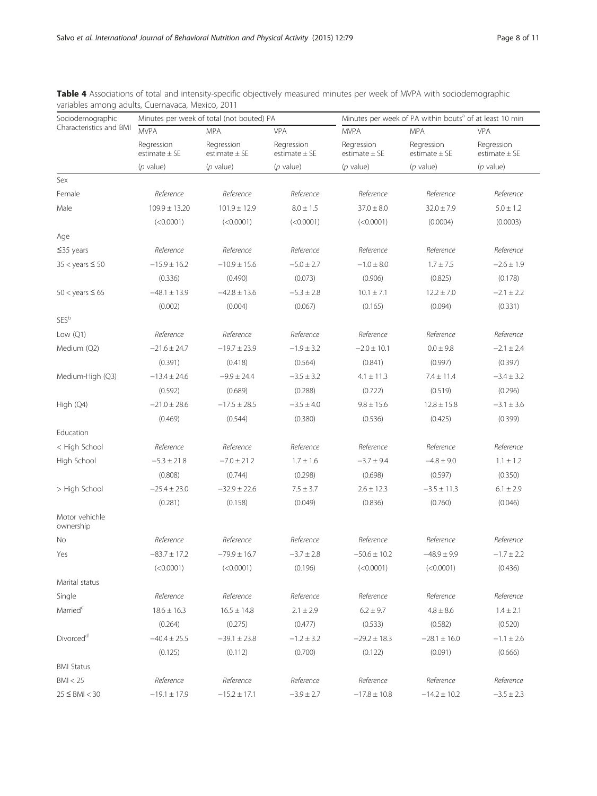| Sociodemographic            |                                 | Minutes per week of total (not bouted) PA |                                 | Minutes per week of PA within bouts <sup>a</sup> of at least 10 min |                                 |                                 |  |  |
|-----------------------------|---------------------------------|-------------------------------------------|---------------------------------|---------------------------------------------------------------------|---------------------------------|---------------------------------|--|--|
| Characteristics and BMI     | <b>MVPA</b>                     | <b>MPA</b>                                | VPA                             | <b>MVPA</b>                                                         | <b>MPA</b>                      | <b>VPA</b>                      |  |  |
|                             | Regression<br>estimate $\pm$ SE | Regression<br>estimate $\pm$ SE           | Regression<br>estimate $\pm$ SE | Regression<br>estimate $\pm$ SE                                     | Regression<br>estimate $\pm$ SE | Regression<br>estimate $\pm$ SE |  |  |
|                             | $(p$ value)                     | $(p$ value)                               | $(p$ value)                     | $(p$ value)                                                         | $(p$ value)                     | $(p$ value)                     |  |  |
| Sex                         |                                 |                                           |                                 |                                                                     |                                 |                                 |  |  |
| Female                      | Reference                       | Reference                                 | Reference                       | Reference                                                           | Reference                       | Reference                       |  |  |
| Male                        | $109.9 \pm 13.20$               | $101.9 \pm 12.9$                          | $8.0 \pm 1.5$                   | $37.0 \pm 8.0$                                                      | $32.0 \pm 7.9$                  | $5.0 \pm 1.2$                   |  |  |
|                             | (<0.0001)                       | (<0.0001)                                 | (<0.0001)                       | (<0.0001)                                                           | (0.0004)                        | (0.0003)                        |  |  |
| Age                         |                                 |                                           |                                 |                                                                     |                                 |                                 |  |  |
| $≤35$ years                 | Reference                       | Reference                                 | Reference                       | Reference                                                           | Reference                       | Reference                       |  |  |
| $35 <$ years $\leq 50$      | $-15.9 \pm 16.2$                | $-10.9 \pm 15.6$                          | $-5.0 \pm 2.7$                  | $-1.0 \pm 8.0$                                                      | $1.7 \pm 7.5$                   | $-2.6 \pm 1.9$                  |  |  |
|                             | (0.336)                         | (0.490)                                   | (0.073)                         | (0.906)                                                             | (0.825)                         | (0.178)                         |  |  |
| $50 <$ years $\leq 65$      | $-48.1 \pm 13.9$                | $-42.8 \pm 13.6$                          | $-5.3 \pm 2.8$                  | $10.1 \pm 7.1$                                                      | $12.2 \pm 7.0$                  | $-2.1 \pm 2.2$                  |  |  |
|                             | (0.002)                         | (0.004)                                   | (0.067)                         | (0.165)                                                             | (0.094)                         | (0.331)                         |  |  |
| <b>SES</b> b                |                                 |                                           |                                 |                                                                     |                                 |                                 |  |  |
| Low $(Q1)$                  | Reference                       | Reference                                 | Reference                       | Reference                                                           | Reference                       | Reference                       |  |  |
| Medium (Q2)                 | $-21.6 \pm 24.7$                | $-19.7 \pm 23.9$                          | $-1.9 \pm 3.2$                  | $-2.0 \pm 10.1$                                                     | $0.0 \pm 9.8$                   | $-2.1 \pm 2.4$                  |  |  |
|                             | (0.391)                         | (0.418)                                   | (0.564)                         | (0.841)                                                             | (0.997)                         | (0.397)                         |  |  |
| Medium-High (Q3)            | $-13.4 \pm 24.6$                | $-9.9 \pm 24.4$                           | $-3.5 \pm 3.2$                  | $4.1 \pm 11.3$                                                      | $7.4 \pm 11.4$                  | $-3.4 \pm 3.2$                  |  |  |
|                             | (0.592)                         | (0.689)                                   | (0.288)                         | (0.722)                                                             | (0.519)                         | (0.296)                         |  |  |
| High (Q4)                   | $-21.0 \pm 28.6$                | $-17.5 \pm 28.5$                          | $-3.5 \pm 4.0$                  | $9.8 \pm 15.6$                                                      | $12.8 \pm 15.8$                 | $-3.1 \pm 3.6$                  |  |  |
|                             | (0.469)                         | (0.544)                                   | (0.380)                         | (0.536)                                                             | (0.425)                         | (0.399)                         |  |  |
| Education                   |                                 |                                           |                                 |                                                                     |                                 |                                 |  |  |
| < High School               | Reference                       | Reference                                 | Reference                       | Reference                                                           | Reference                       | Reference                       |  |  |
| High School                 | $-5.3 \pm 21.8$                 | $-7.0 \pm 21.2$                           | $1.7 \pm 1.6$                   | $-3.7 \pm 9.4$                                                      | $-4.8 \pm 9.0$                  | $1.1 \pm 1.2$                   |  |  |
|                             | (0.808)                         | (0.744)                                   | (0.298)                         | (0.698)                                                             | (0.597)                         | (0.350)                         |  |  |
| > High School               | $-25.4 \pm 23.0$                | $-32.9 \pm 22.6$                          | $7.5 \pm 3.7$                   | $2.6 \pm 12.3$                                                      | $-3.5 \pm 11.3$                 | $6.1 \pm 2.9$                   |  |  |
|                             | (0.281)                         | (0.158)                                   | (0.049)                         | (0.836)                                                             | (0.760)                         | (0.046)                         |  |  |
| Motor vehichle<br>ownership |                                 |                                           |                                 |                                                                     |                                 |                                 |  |  |
| No                          | Reference                       | Reference                                 | Reference                       | Reference                                                           | Reference                       | Reference                       |  |  |
| Yes                         | $-83.7 \pm 17.2$                | $-79.9 \pm 16.7$                          | $-3.7 \pm 2.8$                  | $-50.6 \pm 10.2$                                                    | $-48.9 \pm 9.9$                 | $-1.7 \pm 2.2$                  |  |  |
|                             | (<0.0001)                       | (<0.0001)                                 | (0.196)                         | (<0.0001)                                                           | (<0.0001)                       | (0.436)                         |  |  |
| Marital status              |                                 |                                           |                                 |                                                                     |                                 |                                 |  |  |
| Single                      | Reference                       | Reference                                 | Reference                       | Reference                                                           | Reference                       | Reference                       |  |  |
| Married <sup>c</sup>        | $18.6 \pm 16.3$                 | $16.5 \pm 14.8$                           | $2.1 \pm 2.9$                   | $6.2 \pm 9.7$                                                       | $4.8 \pm 8.6$                   | $1.4 \pm 2.1$                   |  |  |
|                             | (0.264)                         | (0.275)                                   | (0.477)                         | (0.533)                                                             | (0.582)                         | (0.520)                         |  |  |
| Divorced <sup>d</sup>       | $-40.4 \pm 25.5$                | $-39.1 \pm 23.8$                          | $-1.2 \pm 3.2$                  | $-29.2 \pm 18.3$                                                    | $-28.1 \pm 16.0$                | $-1.1 \pm 2.6$                  |  |  |
|                             | (0.125)                         | (0.112)                                   | (0.700)                         | (0.122)                                                             | (0.091)                         | (0.666)                         |  |  |
| <b>BMI Status</b>           |                                 |                                           |                                 |                                                                     |                                 |                                 |  |  |
| BMI < 25                    | Reference                       | Reference                                 | Reference                       | Reference                                                           | Reference                       | Reference                       |  |  |
| $25 \leq$ BMI $<$ 30        | $-19.1 \pm 17.9$                | $-15.2 \pm 17.1$                          | $-3.9 \pm 2.7$                  | $-17.8 \pm 10.8$                                                    | $-14.2 \pm 10.2$                | $-3.5 \pm 2.3$                  |  |  |

<span id="page-7-0"></span>Table 4 Associations of total and intensity-specific objectively measured minutes per week of MVPA with sociodemographic variables among adults, Cuernavaca, Mexico, 2011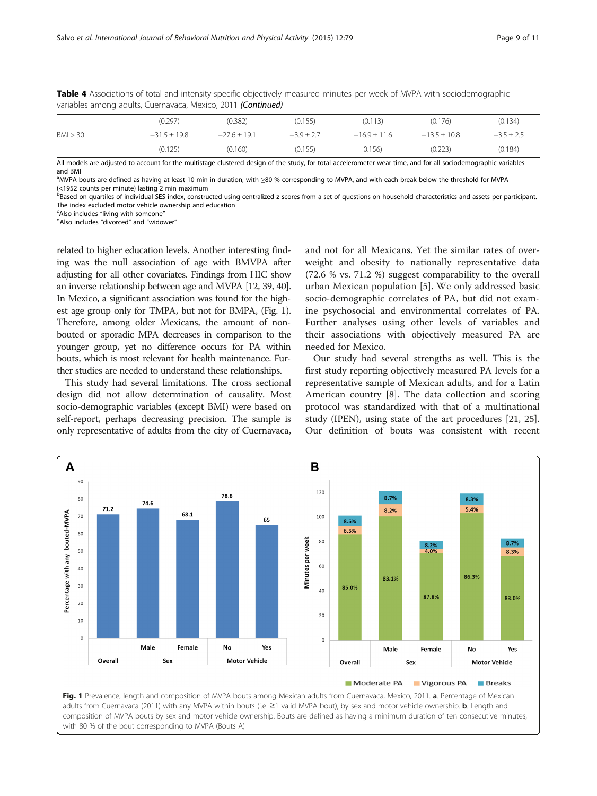|         | variables arriving addits, each lavaca, mexico, zon <b>(commaca)</b> |                  |              |                |                  |                |
|---------|----------------------------------------------------------------------|------------------|--------------|----------------|------------------|----------------|
|         | (0.297)                                                              | (0.382)          | (0.155)      | (0.113)        | (0.176)          | (0.134)        |
| BM > 30 | $-31.5 + 19.8$                                                       | $-27.6 \pm 19.1$ | $-3.9 + 2.7$ | $-16.9 + 11.6$ | $-13.5 \pm 10.8$ | $-3.5 \pm 2.5$ |
|         | (0.125)                                                              | (0.160)          | (0.155)      | 0.156)         | (0.223)          | (0.184)        |

<span id="page-8-0"></span>Table 4 Associations of total and intensity-specific objectively measured minutes per week of MVPA with sociodemographic variables among adults, Cuernavaca, Mexico, 2011 (Continued)

All models are adjusted to account for the multistage clustered design of the study, for total accelerometer wear-time, and for all sociodemographic variables and BMI

a MVPA-bouts are defined as having at least 10 min in duration, with ≥80 % corresponding to MVPA, and with each break below the threshold for MVPA (<1952 counts per minute) lasting 2 min maximum

b<sub>Based</sub> on quartiles of individual SES index, constructed using centralized z-scores from a set of questions on household characteristics and assets per participant The index excluded motor vehicle ownership and education

<sup>c</sup>Also includes "living with someone"<br><sup>d</sup>Also includes "diversed" and "wide

<sup>d</sup>Also includes "divorced" and "widower"

related to higher education levels. Another interesting finding was the null association of age with BMVPA after adjusting for all other covariates. Findings from HIC show an inverse relationship between age and MVPA [\[12](#page-10-0), [39](#page-10-0), [40](#page-10-0)]. In Mexico, a significant association was found for the highest age group only for TMPA, but not for BMPA, (Fig. 1). Therefore, among older Mexicans, the amount of nonbouted or sporadic MPA decreases in comparison to the younger group, yet no difference occurs for PA within bouts, which is most relevant for health maintenance. Further studies are needed to understand these relationships.

This study had several limitations. The cross sectional design did not allow determination of causality. Most socio-demographic variables (except BMI) were based on self-report, perhaps decreasing precision. The sample is only representative of adults from the city of Cuernavaca, and not for all Mexicans. Yet the similar rates of overweight and obesity to nationally representative data (72.6 % vs. 71.2 %) suggest comparability to the overall urban Mexican population [[5](#page-9-0)]. We only addressed basic socio-demographic correlates of PA, but did not examine psychosocial and environmental correlates of PA. Further analyses using other levels of variables and their associations with objectively measured PA are needed for Mexico.

Our study had several strengths as well. This is the first study reporting objectively measured PA levels for a representative sample of Mexican adults, and for a Latin American country [\[8](#page-9-0)]. The data collection and scoring protocol was standardized with that of a multinational study (IPEN), using state of the art procedures [[21, 25](#page-10-0)]. Our definition of bouts was consistent with recent

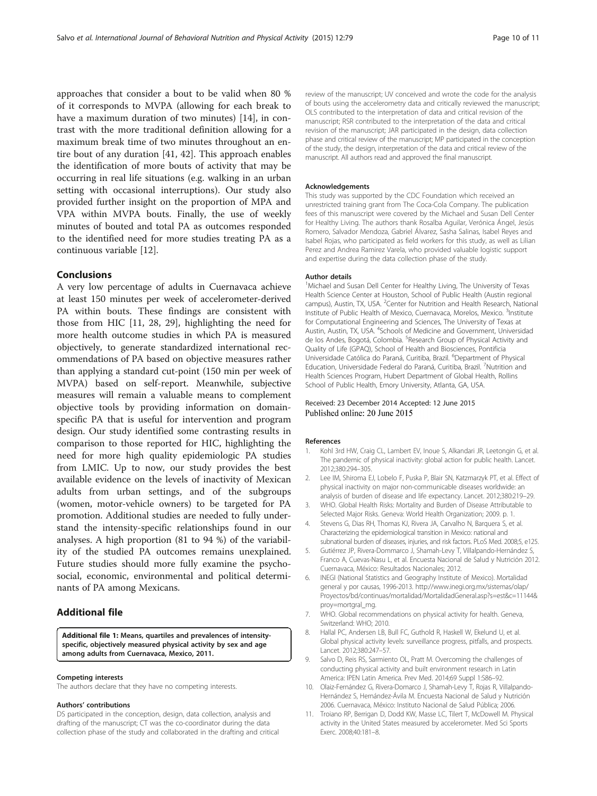<span id="page-9-0"></span>approaches that consider a bout to be valid when 80 % of it corresponds to MVPA (allowing for each break to have a maximum duration of two minutes) [\[14\]](#page-10-0), in contrast with the more traditional definition allowing for a maximum break time of two minutes throughout an entire bout of any duration [\[41, 42\]](#page-10-0). This approach enables the identification of more bouts of activity that may be occurring in real life situations (e.g. walking in an urban setting with occasional interruptions). Our study also provided further insight on the proportion of MPA and VPA within MVPA bouts. Finally, the use of weekly minutes of bouted and total PA as outcomes responded to the identified need for more studies treating PA as a continuous variable [[12\]](#page-10-0).

# **Conclusions**

A very low percentage of adults in Cuernavaca achieve at least 150 minutes per week of accelerometer-derived PA within bouts. These findings are consistent with those from HIC [11, [28](#page-10-0), [29\]](#page-10-0), highlighting the need for more health outcome studies in which PA is measured objectively, to generate standardized international recommendations of PA based on objective measures rather than applying a standard cut-point (150 min per week of MVPA) based on self-report. Meanwhile, subjective measures will remain a valuable means to complement objective tools by providing information on domainspecific PA that is useful for intervention and program design. Our study identified some contrasting results in comparison to those reported for HIC, highlighting the need for more high quality epidemiologic PA studies from LMIC. Up to now, our study provides the best available evidence on the levels of inactivity of Mexican adults from urban settings, and of the subgroups (women, motor-vehicle owners) to be targeted for PA promotion. Additional studies are needed to fully understand the intensity-specific relationships found in our analyses. A high proportion (81 to 94 %) of the variability of the studied PA outcomes remains unexplained. Future studies should more fully examine the psychosocial, economic, environmental and political determinants of PA among Mexicans.

# Additional file

[Additional file 1:](http://www.ijbnpa.org/content/supplementary/s12966-015-0243-z-s1.docx) Means, quartiles and prevalences of intensityspecific, objectively measured physical activity by sex and age among adults from Cuernavaca, Mexico, 2011.

#### Competing interests

The authors declare that they have no competing interests.

#### Authors' contributions

DS participated in the conception, design, data collection, analysis and drafting of the manuscript; CT was the co-coordinator during the data collection phase of the study and collaborated in the drafting and critical

review of the manuscript; UV conceived and wrote the code for the analysis of bouts using the accelerometry data and critically reviewed the manuscript; OLS contributed to the interpretation of data and critical revision of the manuscript; RSR contributed to the interpretation of the data and critical revision of the manuscript; JAR participated in the design, data collection phase and critical review of the manuscript; MP participated in the conception of the study, the design, interpretation of the data and critical review of the manuscript. All authors read and approved the final manuscript.

#### Acknowledgements

This study was supported by the CDC Foundation which received an unrestricted training grant from The Coca-Cola Company. The publication fees of this manuscript were covered by the Michael and Susan Dell Center for Healthy Living. The authors thank Rosalba Aguilar, Verónica Ángel, Jesús Romero, Salvador Mendoza, Gabriel Álvarez, Sasha Salinas, Isabel Reyes and Isabel Rojas, who participated as field workers for this study, as well as Lilian Perez and Andrea Ramirez Varela, who provided valuable logistic support and expertise during the data collection phase of the study.

#### Author details

<sup>1</sup>Michael and Susan Dell Center for Healthy Living, The University of Texas Health Science Center at Houston, School of Public Health (Austin regional campus), Austin, TX, USA. <sup>2</sup>Center for Nutrition and Health Research, National Institute of Public Health of Mexico, Cuernavaca, Morelos, Mexico. <sup>3</sup>Institute for Computational Engineering and Sciences, The University of Texas at Austin, Austin, TX, USA. <sup>4</sup>Schools of Medicine and Government, Universidad de los Andes, Bogotá, Colombia. <sup>5</sup>Research Group of Physical Activity and Quality of Life (GPAQ), School of Health and Biosciences, Pontificia Universidade Católica do Paraná, Curitiba, Brazil. <sup>6</sup>Department of Physical Education, Universidade Federal do Paraná, Curitiba, Brazil. 7Nutrition and Health Sciences Program, Hubert Department of Global Health, Rollins School of Public Health, Emory University, Atlanta, GA, USA.

#### Received: 23 December 2014 Accepted: 12 June 2015 Published online: 20 June 2015

#### References

- 1. Kohl 3rd HW, Craig CL, Lambert EV, Inoue S, Alkandari JR, Leetongin G, et al. The pandemic of physical inactivity: global action for public health. Lancet. 2012;380:294–305.
- 2. Lee IM, Shiroma EJ, Lobelo F, Puska P, Blair SN, Katzmarzyk PT, et al. Effect of physical inactivity on major non-communicable diseases worldwide: an analysis of burden of disease and life expectancy. Lancet. 2012;380:219–29.
- 3. WHO. Global Health Risks: Mortality and Burden of Disease Attributable to Selected Major Risks. Geneva: World Health Organization; 2009. p. 1.
- 4. Stevens G, Dias RH, Thomas KJ, Rivera JA, Carvalho N, Barquera S, et al. Characterizing the epidemiological transition in Mexico: national and subnational burden of diseases, injuries, and risk factors. PLoS Med. 2008;5, e125.
- 5. Gutiérrez JP, Rivera-Dommarco J, Shamah-Levy T, Villalpando-Hernández S, Franco A, Cuevas-Nasu L, et al. Encuesta Nacional de Salud y Nutrición 2012. Cuernavaca, México: Resultados Nacionales; 2012.
- 6. INEGI (National Statistics and Geography Institute of Mexico). Mortalidad general y por causas, 1996-2013. [http://www.inegi.org.mx/sistemas/olap/](http://www.inegi.org.mx/sistemas/olap/Proyectos/bd/continuas/mortalidad/MortalidadGeneral.asp?s=est&c=11144&proy=mortgral_mg) [Proyectos/bd/continuas/mortalidad/MortalidadGeneral.asp?s=est&c=11144&](http://www.inegi.org.mx/sistemas/olap/Proyectos/bd/continuas/mortalidad/MortalidadGeneral.asp?s=est&c=11144&proy=mortgral_mg) [proy=mortgral\\_mg](http://www.inegi.org.mx/sistemas/olap/Proyectos/bd/continuas/mortalidad/MortalidadGeneral.asp?s=est&c=11144&proy=mortgral_mg).
- 7. WHO. Global recommendations on physical activity for health. Geneva, Switzerland: WHO; 2010.
- 8. Hallal PC, Andersen LB, Bull FC, Guthold R, Haskell W, Ekelund U, et al. Global physical activity levels: surveillance progress, pitfalls, and prospects. Lancet. 2012;380:247–57.
- 9. Salvo D, Reis RS, Sarmiento OL, Pratt M. Overcoming the challenges of conducting physical activity and built environment research in Latin America: IPEN Latin America. Prev Med. 2014;69 Suppl 1:S86–92.
- 10. Olaiz-Fernández G, Rivera-Domarco J, Shamah-Levy T, Rojas R, Villalpando-Hernández S, Hernández-Ávila M. Encuesta Nacional de Salud y Nutrición 2006. Cuernavaca, México: Instituto Nacional de Salud Pública; 2006.
- 11. Troiano RP, Berrigan D, Dodd KW, Masse LC, Tilert T, McDowell M. Physical activity in the United States measured by accelerometer. Med Sci Sports Exerc. 2008;40:181–8.